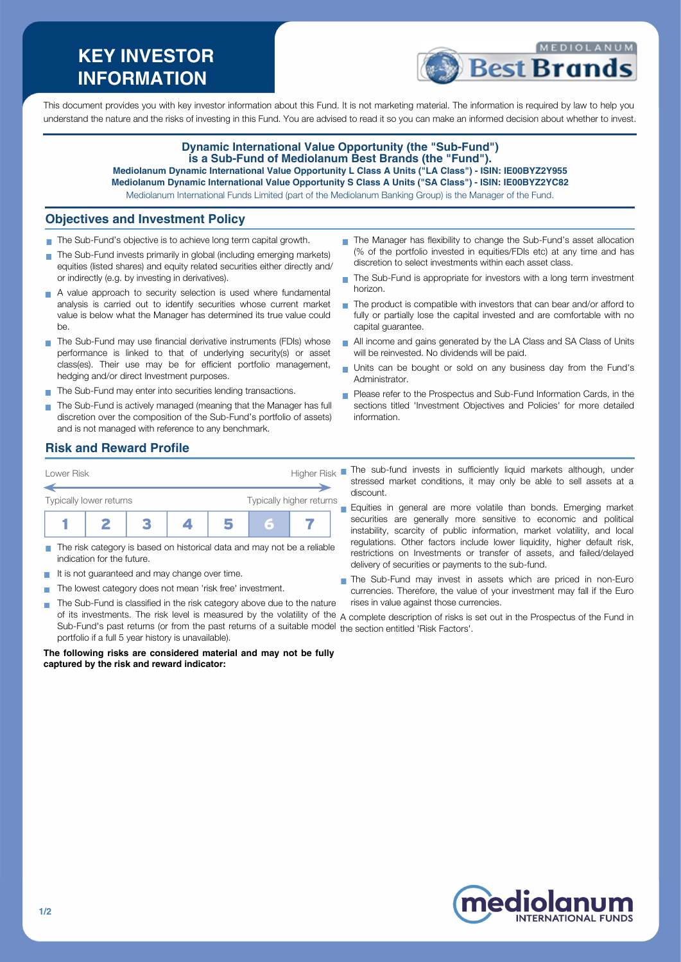# **KEY INVESTOR INFORMATION**



This document provides you with key investor information about this Fund. It is not marketing material. The information is required by law to help you understand the nature and the risks of investing in this Fund. You are advised to read it so you can make an informed decision about whether to invest.

### **Dynamic International Value Opportunity (the "Sub-Fund") is a Sub-Fund of Mediolanum Best Brands (the "Fund"). Mediolanum Dynamic International Value Opportunity L Class A Units ("LA Class") - ISIN: IE00BYZ2Y955**

**Mediolanum Dynamic International Value Opportunity S Class A Units ("SA Class") - ISIN: IE00BYZ2YC82**

Mediolanum International Funds Limited (part of the Mediolanum Banking Group) is the Manager of the Fund.

### **Objectives and Investment Policy**

- The Sub-Fund's objective is to achieve long term capital growth.
- The Sub-Fund invests primarily in global (including emerging markets) equities (listed shares) and equity related securities either directly and/ or indirectly (e.g. by investing in derivatives).
- A value approach to security selection is used where fundamental analysis is carried out to identify securities whose current market value is below what the Manager has determined its true value could be.
- The Sub-Fund may use financial derivative instruments (FDIs) whose performance is linked to that of underlying security(s) or asset class(es). Their use may be for efficient portfolio management, hedging and/or direct Investment purposes.
- The Sub-Fund may enter into securities lending transactions.
- The Sub-Fund is actively managed (meaning that the Manager has full discretion over the composition of the Sub-Fund's portfolio of assets) and is not managed with reference to any benchmark.
- The Manager has flexibility to change the Sub-Fund's asset allocation (% of the portfolio invested in equities/FDIs etc) at any time and has discretion to select investments within each asset class.
- ÷. The Sub-Fund is appropriate for investors with a long term investment horizon.
- The product is compatible with investors that can bear and/or afford to fully or partially lose the capital invested and are comfortable with no capital guarantee.
- All income and gains generated by the LA Class and SA Class of Units will be reinvested. No dividends will be paid.
- Units can be bought or sold on any business day from the Fund's Administrator.
- Please refer to the Prospectus and Sub-Fund Information Cards, in the sections titled 'Investment Objectives and Policies' for more detailed information.

### **Risk and Reward Profile**



- The risk category is based on historical data and may not be a reliable indication for the future.
- It is not guaranteed and may change over time.
- The lowest category does not mean 'risk free' investment. п
- The Sub-Fund is classified in the risk category above due to the nature  $\sim$ Sub-Fund's past returns (or from the past returns of a suitable model the section entitled 'Risk Factors'.portfolio if a full 5 year history is unavailable).

#### **The following risks are considered material and may not be fully captured by the risk and reward indicator:**

- The sub-fund invests in sufficiently liquid markets although, under stressed market conditions, it may only be able to sell assets at a discount.
- Equities in general are more volatile than bonds. Emerging market  $\blacksquare$ securities are generally more sensitive to economic and political instability, scarcity of public information, market volatility, and local regulations. Other factors include lower liquidity, higher default risk, restrictions on Investments or transfer of assets, and failed/delayed delivery of securities or payments to the sub-fund.
- The Sub-Fund may invest in assets which are priced in non-Euro currencies. Therefore, the value of your investment may fall if the Euro rises in value against those currencies.

of its investments. The risk level is measured by the volatility of the A complete description of risks is set out in the Prospectus of the Fund in